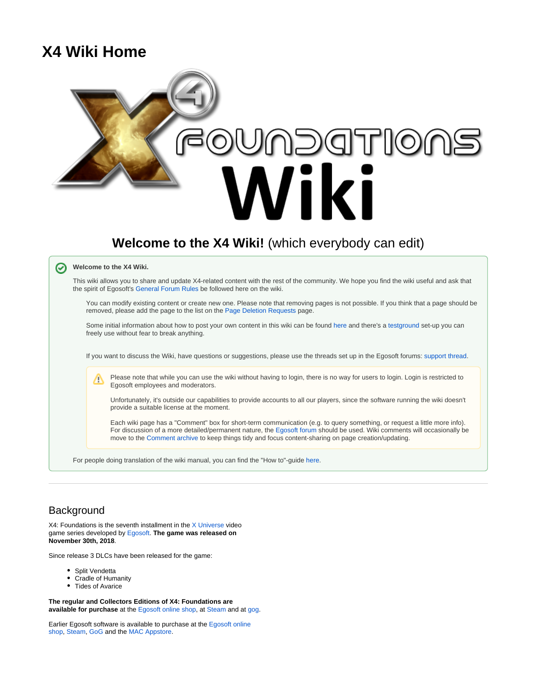# <span id="page-0-0"></span>**X4 Wiki Home**



## **Background**

 $X4$ : Foundations is the seventh installment in the  $X$  Universe video game series developed by [Egosoft.](https://en.wikipedia.org/wiki/Egosoft) **The game was released on November 30th, 2018**.

Since release 3 DLCs have been released for the game:

- Split Vendetta
- Cradle of Humanity
- Tides of Avarice

**The regular and Collectors Editions of X4: Foundations are available for purchase** at the [Egosoft online shop,](https://www.egosoft.com/shop/default.asp?cat=6) at [Steam](https://store.steampowered.com/app/392160/X4_Foundations/) and at [gog](https://www.gog.com/game/x4_foundations).

Earlier Egosoft software is available to purchase at the [Egosoft online](https://www.egosoft.com/shop/default.asp?lang=44)  [shop,](https://www.egosoft.com/shop/default.asp?lang=44) [Steam,](https://en.wikipedia.org/wiki/Steam_%28software%29) [GoG](https://en.wikipedia.org/wiki/GOG.com) and the [MAC Appstore.](https://en.wikipedia.org/wiki/Mac_App_Store)